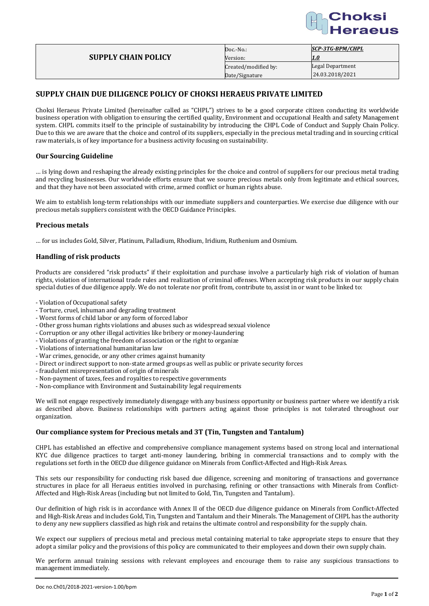

|                            | $Doc.-No.$ :         | SCP-3TG-BPM/CHPL |
|----------------------------|----------------------|------------------|
| <b>SUPPLY CHAIN POLICY</b> | Version:             |                  |
|                            | Created/modified by: | Legal Department |
|                            | Date/Signature       | 24.03.2018/2021  |
|                            |                      |                  |

# **SUPPLY CHAIN DUE DILIGENCE POLICY OF CHOKSI HERAEUS PRIVATE LIMITED**

Choksi Heraeus Private Limited (hereinafter called as "CHPL") strives to be a good corporate citizen conducting its worldwide business operation with obligation to ensuring the certified quality, Environment and occupational Health and safety Management system. CHPL commits itself to the principle of sustainability by introducing the CHPL Code of Conduct and Supply Chain Policy. Due to this we are aware that the choice and control of its suppliers, especially in the precious metal trading and in sourcing critical raw materials, is of key importance for a business activity focusing on sustainability.

### **Our Sourcing Guideline**

… is lying down and reshaping the already existing principles for the choice and control of suppliers for our precious metal trading and recycling businesses. Our worldwide efforts ensure that we source precious metals only from legitimate and ethical sources, and that they have not been associated with crime, armed conflict or human rights abuse.

We aim to establish long-term relationships with our immediate suppliers and counterparties. We exercise due diligence with our precious metals suppliers consistent with the OECD Guidance Principles.

### **Precious metals**

… for us includes Gold, Silver, Platinum, Palladium, Rhodium, Iridium, Ruthenium and Osmium.

### **Handling of risk products**

Products are considered "risk products" if their exploitation and purchase involve a particularly high risk of violation of human rights, violation of international trade rules and realization of criminal offenses. When accepting risk products in our supply chain special duties of due diligence apply. We do not tolerate nor profit from, contribute to, assist in or want to be linked to:

- Violation of Occupational safety
- Torture, cruel, inhuman and degrading treatment
- Worst forms of child labor or any form of forced labor
- Other gross human rights violations and abuses such as widespread sexual violence
- Corruption or any other illegal activities like bribery or money-laundering
- Violations of granting the freedom of association or the right to organize
- Violations of international humanitarian law
- War crimes, genocide, or any other crimes against humanity
- Direct or indirect support to non-state armed groups as well as public or private security forces
- fraudulent misrepresentation of origin of minerals
- Non-payment of taxes, fees and royalties to respective governments
- Non-compliance with Environment and Sustainability legal requirements

We will not engage respectively immediately disengage with any business opportunity or business partner where we identify a risk as described above. Business relationships with partners acting against those principles is not tolerated throughout our organization.

### **Our compliance system for Precious metals and 3T (Tin, Tungsten and Tantalum)**

CHPL has established an effective and comprehensive compliance management systems based on strong local and international KYC due diligence practices to target anti-money laundering, bribing in commercial transactions and to comply with the regulations set forth in the OECD due diligence guidance on Minerals from Conflict-Affected and High-Risk Areas.

This sets our responsibility for conducting risk based due diligence, screening and monitoring of transactions and governance structures in place for all Heraeus entities involved in purchasing, refining or other transactions with Minerals from Conflict-Affected and High-Risk Areas (including but not limited to Gold, Tin, Tungsten and Tantalum).

Our definition of high risk is in accordance with Annex II of the OECD due diligence guidance on Minerals from Conflict-Affected and High-Risk Areas and includes Gold, Tin, Tungsten and Tantalum and their Minerals. The Management of CHPL has the authority to deny any new suppliers classified as high risk and retains the ultimate control and responsibility for the supply chain.

We expect our suppliers of precious metal and precious metal containing material to take appropriate steps to ensure that they adopt a similar policy and the provisions of this policy are communicated to their employees and down their own supply chain.

We perform annual training sessions with relevant employees and encourage them to raise any suspicious transactions to management immediately.